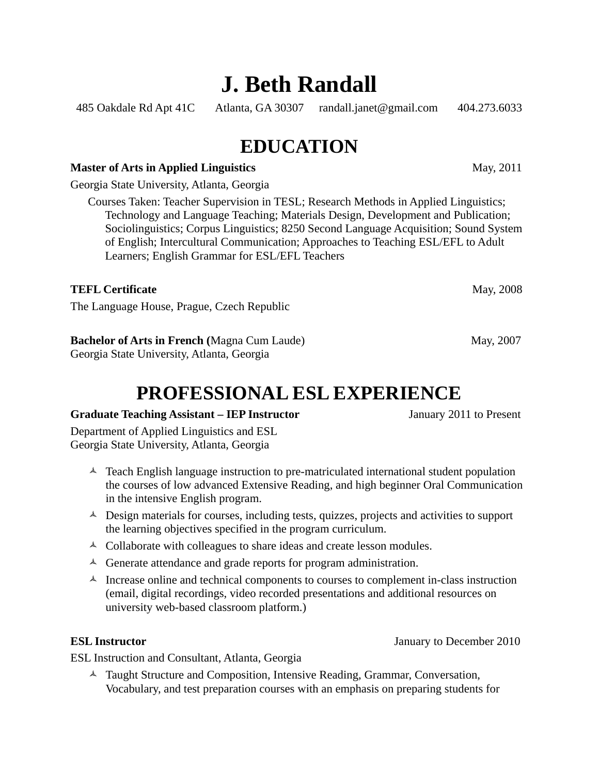# **J. Beth Randall**

485 Oakdale Rd Apt 41C Atlanta, GA 30307 randall.janet@gmail.com 404.273.6033

### **EDUCATION**

#### **Master of Arts in Applied Linguistics** May, 2011

Georgia State University, Atlanta, Georgia

Courses Taken: Teacher Supervision in TESL; Research Methods in Applied Linguistics; Technology and Language Teaching; Materials Design, Development and Publication; Sociolinguistics; Corpus Linguistics; 8250 Second Language Acquisition; Sound System of English; Intercultural Communication; Approaches to Teaching ESL/EFL to Adult Learners; English Grammar for ESL/EFL Teachers

#### **TEFL Certificate** May, 2008

The Language House, Prague, Czech Republic

### **Bachelor of Arts in French (Magna Cum Laude)** May, 2007

Georgia State University, Atlanta, Georgia

## **PROFESSIONAL ESL EXPERIENCE**

#### **Graduate Teaching Assistant – IEP Instructor** January 2011 to Present

Department of Applied Linguistics and ESL Georgia State University, Atlanta, Georgia

- $\triangle$  Teach English language instruction to pre-matriculated international student population the courses of low advanced Extensive Reading, and high beginner Oral Communication in the intensive English program.
- $\triangle$  Design materials for courses, including tests, quizzes, projects and activities to support the learning objectives specified in the program curriculum.
- $\triangle$  Collaborate with colleagues to share ideas and create lesson modules.
- $\triangle$  Generate attendance and grade reports for program administration.
- $\uparrow$  Increase online and technical components to courses to complement in-class instruction (email, digital recordings, video recorded presentations and additional resources on university web-based classroom platform.)

ESL Instruction and Consultant, Atlanta, Georgia

 $\triangle$  Taught Structure and Composition, Intensive Reading, Grammar, Conversation, Vocabulary, and test preparation courses with an emphasis on preparing students for

**ESL Instructor** January to December 2010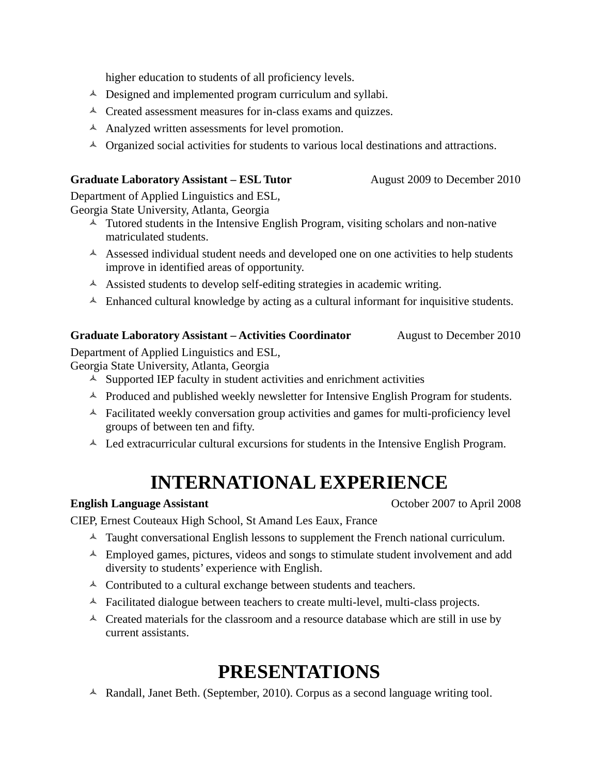higher education to students of all proficiency levels.

- $\triangle$  Designed and implemented program curriculum and syllabi.
- $\triangle$  Created assessment measures for in-class exams and quizzes.
- $\triangle$  Analyzed written assessments for level promotion.
- $\triangle$  Organized social activities for students to various local destinations and attractions.

#### **Graduate Laboratory Assistant – ESL Tutor Manufacture August 2009 to December 2010**

Department of Applied Linguistics and ESL, Georgia State University, Atlanta, Georgia

- $\uparrow$  Tutored students in the Intensive English Program, visiting scholars and non-native matriculated students.
- $\triangle$  Assessed individual student needs and developed one on one activities to help students improve in identified areas of opportunity.
- $\triangle$  Assisted students to develop self-editing strategies in academic writing.
- $\triangle$  Enhanced cultural knowledge by acting as a cultural informant for inquisitive students.

#### **Graduate Laboratory Assistant – Activities Coordinator • August to December 2010**

Department of Applied Linguistics and ESL,

Georgia State University, Atlanta, Georgia

- $\triangle$  Supported IEP faculty in student activities and enrichment activities
- A Produced and published weekly newsletter for Intensive English Program for students.
- $\triangle$  Facilitated weekly conversation group activities and games for multi-proficiency level groups of between ten and fifty.
- $\triangle$  Led extracurricular cultural excursions for students in the Intensive English Program.

### **INTERNATIONAL EXPERIENCE**

#### **English Language Assistant Conserverse Conserverse Conserverse Conserverse Conserverse Conserverse Conserverse Conserverse Conserverse Conserverse Conserverse Conserverse Conserverse Conserverse Conserverse Conserverse**

CIEP, Ernest Couteaux High School, St Amand Les Eaux, France

- $\triangle$  Taught conversational English lessons to supplement the French national curriculum.
- $\triangle$  Employed games, pictures, videos and songs to stimulate student involvement and add diversity to students' experience with English.
- $\triangle$  Contributed to a cultural exchange between students and teachers.
- $\triangle$  Facilitated dialogue between teachers to create multi-level, multi-class projects.
- $\triangle$  Created materials for the classroom and a resource database which are still in use by current assistants.

### **PRESENTATIONS**

 $\triangle$  Randall, Janet Beth. (September, 2010). Corpus as a second language writing tool.